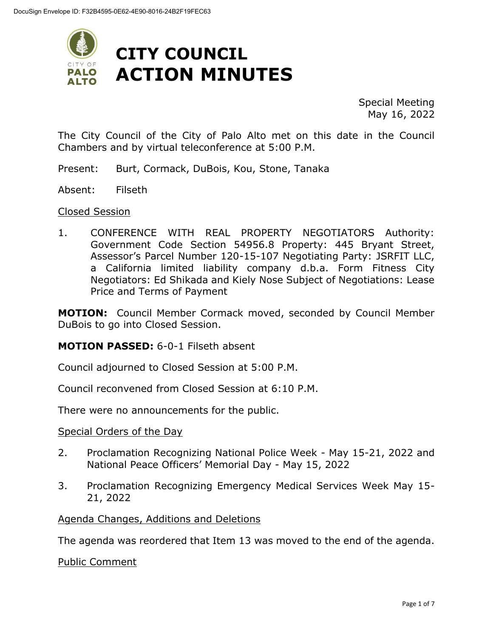

Special Meeting May 16, 2022

The City Council of the City of Palo Alto met on this date in the Council Chambers and by virtual teleconference at 5:00 P.M.

Present: Burt, Cormack, DuBois, Kou, Stone, Tanaka

Absent: Filseth

#### Closed Session

1. CONFERENCE WITH REAL PROPERTY NEGOTIATORS Authority: Government Code Section 54956.8 Property: 445 Bryant Street, Assessor's Parcel Number 120-15-107 Negotiating Party: JSRFIT LLC, a California limited liability company d.b.a. Form Fitness City Negotiators: Ed Shikada and Kiely Nose Subject of Negotiations: Lease Price and Terms of Payment

**MOTION:** Council Member Cormack moved, seconded by Council Member DuBois to go into Closed Session.

#### **MOTION PASSED:** 6-0-1 Filseth absent

Council adjourned to Closed Session at 5:00 P.M.

Council reconvened from Closed Session at 6:10 P.M.

There were no announcements for the public.

#### Special Orders of the Day

- 2. Proclamation Recognizing National Police Week May 15-21, 2022 and National Peace Officers' Memorial Day - May 15, 2022
- 3. Proclamation Recognizing Emergency Medical Services Week May 15- 21, 2022

Agenda Changes, Additions and Deletions

The agenda was reordered that Item 13 was moved to the end of the agenda.

Public Comment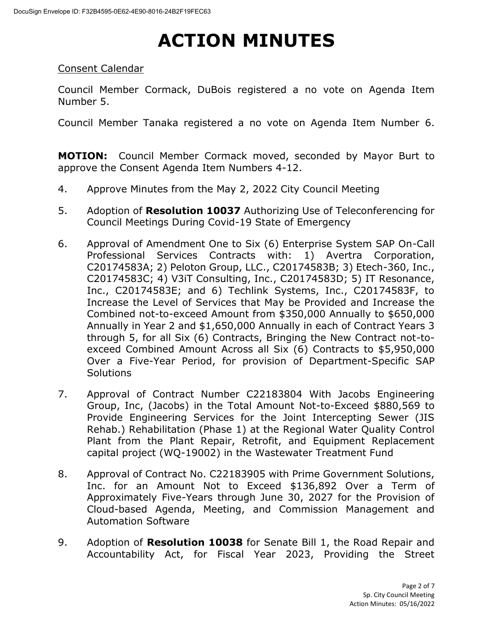#### Consent Calendar

Council Member Cormack, DuBois registered a no vote on Agenda Item Number 5.

Council Member Tanaka registered a no vote on Agenda Item Number 6.

**MOTION:** Council Member Cormack moved, seconded by Mayor Burt to approve the Consent Agenda Item Numbers 4-12.

- 4. Approve Minutes from the May 2, 2022 City Council Meeting
- 5. Adoption of **Resolution 10037** Authorizing Use of Teleconferencing for Council Meetings During Covid-19 State of Emergency
- 6. Approval of Amendment One to Six (6) Enterprise System SAP On-Call Professional Services Contracts with: 1) Avertra Corporation, C20174583A; 2) Peloton Group, LLC., C20174583B; 3) Etech-360, Inc., C20174583C; 4) V3iT Consulting, Inc., C20174583D; 5) IT Resonance, Inc., C20174583E; and 6) Techlink Systems, Inc., C20174583F, to Increase the Level of Services that May be Provided and Increase the Combined not-to-exceed Amount from \$350,000 Annually to \$650,000 Annually in Year 2 and \$1,650,000 Annually in each of Contract Years 3 through 5, for all Six (6) Contracts, Bringing the New Contract not-toexceed Combined Amount Across all Six (6) Contracts to \$5,950,000 Over a Five-Year Period, for provision of Department-Specific SAP **Solutions**
- 7. Approval of Contract Number C22183804 With Jacobs Engineering Group, Inc, (Jacobs) in the Total Amount Not-to-Exceed \$880,569 to Provide Engineering Services for the Joint Intercepting Sewer (JIS Rehab.) Rehabilitation (Phase 1) at the Regional Water Quality Control Plant from the Plant Repair, Retrofit, and Equipment Replacement capital project (WQ-19002) in the Wastewater Treatment Fund
- 8. Approval of Contract No. C22183905 with Prime Government Solutions, Inc. for an Amount Not to Exceed \$136,892 Over a Term of Approximately Five-Years through June 30, 2027 for the Provision of Cloud-based Agenda, Meeting, and Commission Management and Automation Software
- 9. Adoption of **Resolution 10038** for Senate Bill 1, the Road Repair and Accountability Act, for Fiscal Year 2023, Providing the Street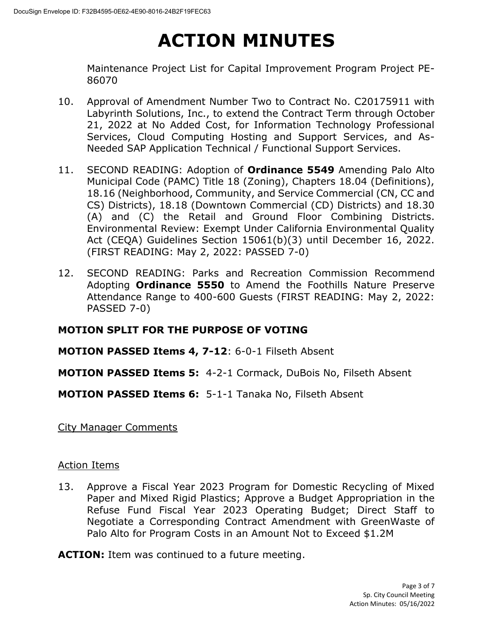Maintenance Project List for Capital Improvement Program Project PE-86070

- 10. Approval of Amendment Number Two to Contract No. C20175911 with Labyrinth Solutions, Inc., to extend the Contract Term through October 21, 2022 at No Added Cost, for Information Technology Professional Services, Cloud Computing Hosting and Support Services, and As-Needed SAP Application Technical / Functional Support Services.
- 11. SECOND READING: Adoption of **Ordinance 5549** Amending Palo Alto Municipal Code (PAMC) Title 18 (Zoning), Chapters 18.04 (Definitions), 18.16 (Neighborhood, Community, and Service Commercial (CN, CC and CS) Districts), 18.18 (Downtown Commercial (CD) Districts) and 18.30 (A) and (C) the Retail and Ground Floor Combining Districts. Environmental Review: Exempt Under California Environmental Quality Act (CEQA) Guidelines Section 15061(b)(3) until December 16, 2022. (FIRST READING: May 2, 2022: PASSED 7-0)
- 12. SECOND READING: Parks and Recreation Commission Recommend Adopting **Ordinance 5550** to Amend the Foothills Nature Preserve Attendance Range to 400-600 Guests (FIRST READING: May 2, 2022: PASSED 7-0)

### **MOTION SPLIT FOR THE PURPOSE OF VOTING**

### **MOTION PASSED Items 4, 7-12**: 6-0-1 Filseth Absent

**MOTION PASSED Items 5:** 4-2-1 Cormack, DuBois No, Filseth Absent

#### **MOTION PASSED Items 6:** 5-1-1 Tanaka No, Filseth Absent

City Manager Comments

#### Action Items

13. Approve a Fiscal Year 2023 Program for Domestic Recycling of Mixed Paper and Mixed Rigid Plastics; Approve a Budget Appropriation in the Refuse Fund Fiscal Year 2023 Operating Budget; Direct Staff to Negotiate a Corresponding Contract Amendment with GreenWaste of Palo Alto for Program Costs in an Amount Not to Exceed \$1.2M

**ACTION:** Item was continued to a future meeting.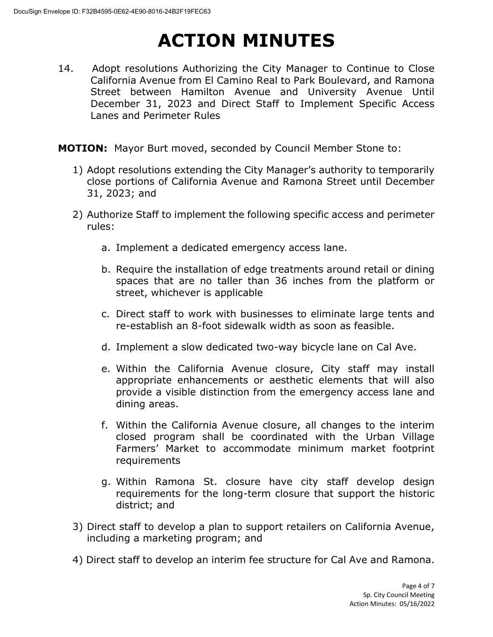14. Adopt resolutions Authorizing the City Manager to Continue to Close California Avenue from El Camino Real to Park Boulevard, and Ramona Street between Hamilton Avenue and University Avenue Until December 31, 2023 and Direct Staff to Implement Specific Access Lanes and Perimeter Rules

**MOTION:** Mayor Burt moved, seconded by Council Member Stone to:

- 1) Adopt resolutions extending the City Manager's authority to temporarily close portions of California Avenue and Ramona Street until December 31, 2023; and
- 2) Authorize Staff to implement the following specific access and perimeter rules:
	- a. Implement a dedicated emergency access lane.
	- b. Require the installation of edge treatments around retail or dining spaces that are no taller than 36 inches from the platform or street, whichever is applicable
	- c. Direct staff to work with businesses to eliminate large tents and re-establish an 8-foot sidewalk width as soon as feasible.
	- d. Implement a slow dedicated two-way bicycle lane on Cal Ave.
	- e. Within the California Avenue closure, City staff may install appropriate enhancements or aesthetic elements that will also provide a visible distinction from the emergency access lane and dining areas.
	- f. Within the California Avenue closure, all changes to the interim closed program shall be coordinated with the Urban Village Farmers' Market to accommodate minimum market footprint requirements
	- g. Within Ramona St. closure have city staff develop design requirements for the long-term closure that support the historic district; and
- 3) Direct staff to develop a plan to support retailers on California Avenue, including a marketing program; and
- 4) Direct staff to develop an interim fee structure for Cal Ave and Ramona.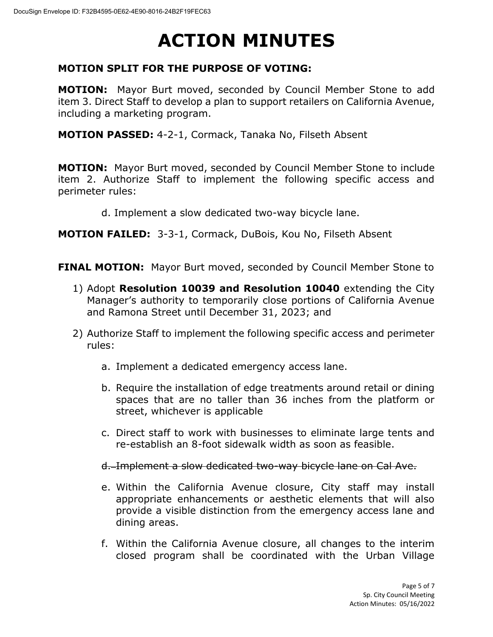#### **MOTION SPLIT FOR THE PURPOSE OF VOTING:**

**MOTION:** Mayor Burt moved, seconded by Council Member Stone to add item 3. Direct Staff to develop a plan to support retailers on California Avenue, including a marketing program.

**MOTION PASSED:** 4-2-1, Cormack, Tanaka No, Filseth Absent

**MOTION:** Mayor Burt moved, seconded by Council Member Stone to include item 2. Authorize Staff to implement the following specific access and perimeter rules:

d. Implement a slow dedicated two-way bicycle lane.

**MOTION FAILED:** 3-3-1, Cormack, DuBois, Kou No, Filseth Absent

**FINAL MOTION:** Mayor Burt moved, seconded by Council Member Stone to

- 1) Adopt **Resolution 10039 and Resolution 10040** extending the City Manager's authority to temporarily close portions of California Avenue and Ramona Street until December 31, 2023; and
- 2) Authorize Staff to implement the following specific access and perimeter rules:
	- a. Implement a dedicated emergency access lane.
	- b. Require the installation of edge treatments around retail or dining spaces that are no taller than 36 inches from the platform or street, whichever is applicable
	- c. Direct staff to work with businesses to eliminate large tents and re-establish an 8-foot sidewalk width as soon as feasible.
	- d. Implement a slow dedicated two-way bicycle lane on Cal Ave.
	- e. Within the California Avenue closure, City staff may install appropriate enhancements or aesthetic elements that will also provide a visible distinction from the emergency access lane and dining areas.
	- f. Within the California Avenue closure, all changes to the interim closed program shall be coordinated with the Urban Village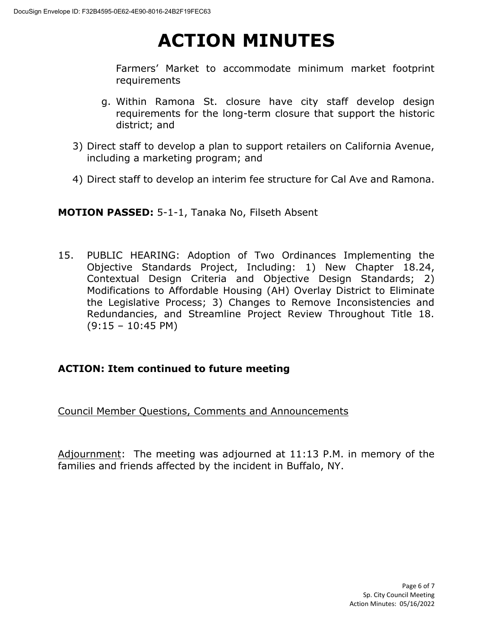Farmers' Market to accommodate minimum market footprint requirements

- g. Within Ramona St. closure have city staff develop design requirements for the long-term closure that support the historic district; and
- 3) Direct staff to develop a plan to support retailers on California Avenue, including a marketing program; and
- 4) Direct staff to develop an interim fee structure for Cal Ave and Ramona.

**MOTION PASSED:** 5-1-1, Tanaka No, Filseth Absent

15. PUBLIC HEARING: Adoption of Two Ordinances Implementing the Objective Standards Project, Including: 1) New Chapter 18.24, Contextual Design Criteria and Objective Design Standards; 2) Modifications to Affordable Housing (AH) Overlay District to Eliminate the Legislative Process; 3) Changes to Remove Inconsistencies and Redundancies, and Streamline Project Review Throughout Title 18.  $(9:15 - 10:45 \text{ PM})$ 

### **ACTION: Item continued to future meeting**

Council Member Questions, Comments and Announcements

Adjournment: The meeting was adjourned at 11:13 P.M. in memory of the families and friends affected by the incident in Buffalo, NY.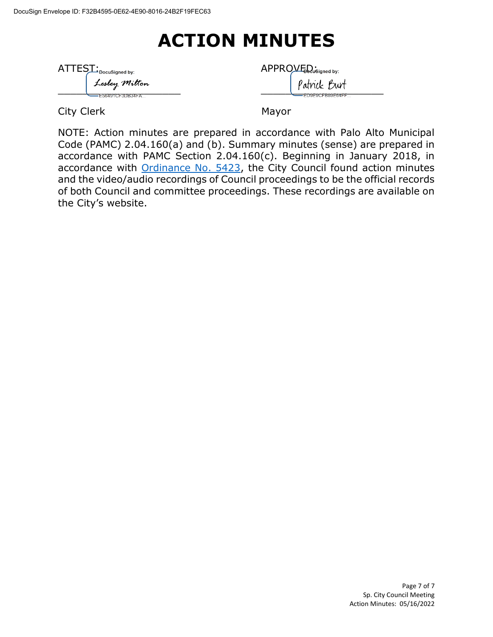| $\text{ATTES}\_\text{Docusigned by:}$ |                 | APPROVED <sub>usis</sub> |
|---------------------------------------|-----------------|--------------------------|
|                                       | Lesley Milton   | Patricl                  |
|                                       | E56491CF3DB34FA | ED9E9C                   |

| AT<br>∙DocuSigned by: |                        | APPROVED<br>— DocuSigned by:                   |  |  |
|-----------------------|------------------------|------------------------------------------------|--|--|
|                       | Lesley Milton          | Burt<br>atnick                                 |  |  |
|                       | <b>I PERMIT THAT A</b> | <b>EDAEAAEDAAEA IEE</b><br>------------------- |  |  |

City Clerk Mayor

NOTE: Action minutes are prepared in accordance with Palo Alto Municipal Code (PAMC) 2.04.160(a) and (b). Summary minutes (sense) are prepared in accordance with PAMC Section 2.04.160(c). Beginning in January 2018, in accordance with [Ordinance No. 5423,](https://www.cityofpaloalto.org/files/assets/public/city-clerk/ordinances/ordinances-1909-to-present/ordinances-by-number/ord-5423.pdf) the City Council found action minutes and the video/audio recordings of Council proceedings to be the official records of both Council and committee proceedings. These recordings are available on the City's website.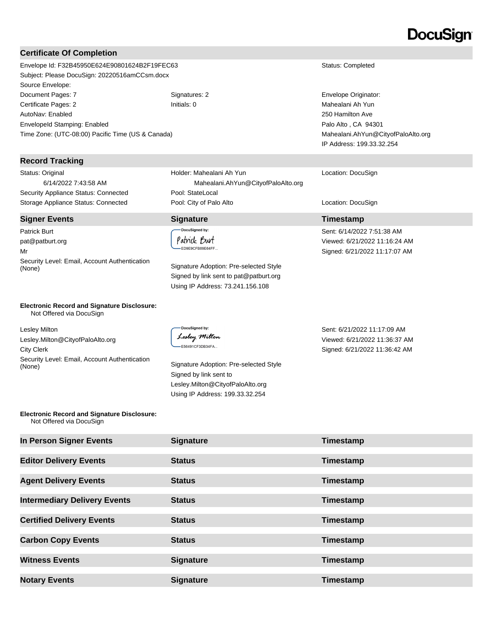### DocuSian

#### **Certificate Of Completion**

Envelope Id: F32B45950E624E90801624B2F19FEC63 Status: Completed Subject: Please DocuSign: 20220516amCCsm.docx Source Envelope: Document Pages: 7 Signatures: 2 Signatures: 2 Envelope Originator: Certificate Pages: 2 Initials: 0 Mahealani Ah Yun AutoNav: Enabled EnvelopeId Stamping: Enabled Time Zone: (UTC-08:00) Pacific Time (US & Canada)

#### **Record Tracking**

Status: Original 6/14/2022 7:43:58 AM Security Appliance Status: Connected Pool: StateLocal

#### **Signer Events Signature Timestamp**

Patrick Burt pat@patburt.org Mr Security Level: Email, Account Authentication (None) Signature Adoption: Pre-selected Style

### Holder: Mahealani Ah Yun Mahealani.AhYun@CityofPaloAlto.org Storage Appliance Status: Connected **Pool: City of Palo Alto** Location: DocuSign Location: DocuSign

.<br>DocuSigned by: Patrick Burt ED9E9CFB89E64FF...

Signed by link sent to pat@patburt.org Using IP Address: 73.241.156.108

250 Hamilton Ave Palo Alto , CA 94301 Mahealani.AhYun@CityofPaloAlto.org IP Address: 199.33.32.254

Location: DocuSign

Sent: 6/14/2022 7:51:38 AM Viewed: 6/21/2022 11:16:24 AM Signed: 6/21/2022 11:17:07 AM

**Electronic Record and Signature Disclosure:**  Not Offered via DocuSign

Lesley Milton Lesley.Milton@CityofPaloAlto.org City Clerk Security Level: Email, Account Authentication Signature Adoption: Pre-selected Style (None)

**DocuSianed by:** Lesley Milton E56491CF3DB34FA...

Signed by link sent to Lesley.Milton@CityofPaloAlto.org Using IP Address: 199.33.32.254

Sent: 6/21/2022 11:17:09 AM Viewed: 6/21/2022 11:36:37 AM Signed: 6/21/2022 11:36:42 AM

#### **Electronic Record and Signature Disclosure:**  Not Offered via DocuSign

| In Person Signer Events             | <b>Signature</b> | Timestamp |
|-------------------------------------|------------------|-----------|
| <b>Editor Delivery Events</b>       | <b>Status</b>    | Timestamp |
| <b>Agent Delivery Events</b>        | <b>Status</b>    | Timestamp |
| <b>Intermediary Delivery Events</b> | <b>Status</b>    | Timestamp |
| <b>Certified Delivery Events</b>    | <b>Status</b>    | Timestamp |
| <b>Carbon Copy Events</b>           | <b>Status</b>    | Timestamp |
| <b>Witness Events</b>               | <b>Signature</b> | Timestamp |
| <b>Notary Events</b>                | <b>Signature</b> | Timestamp |